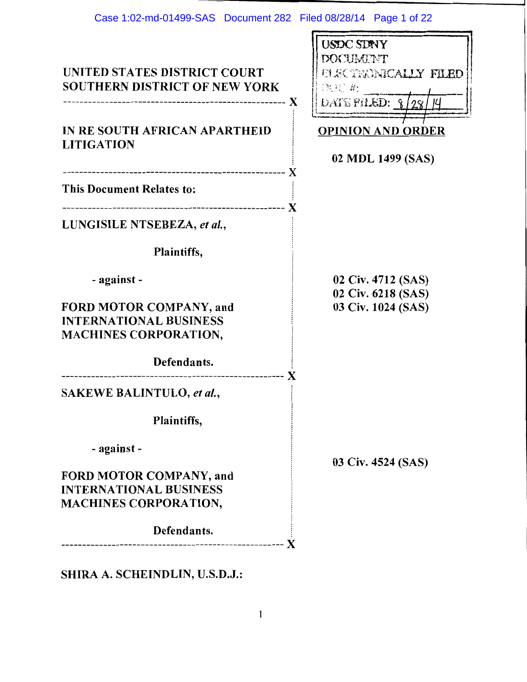|                                      | <b>USDC SDAYY</b>                |
|--------------------------------------|----------------------------------|
|                                      | <b>DOCUMENT</b>                  |
| UNITED STATES DISTRICT COURT         | <b>FLECTEONICALLY FILED</b>      |
| <b>SOUTHERN DISTRICT OF NEW YORK</b> | 款犯 乾                             |
|                                      | DATE FILED: $\frac{8}{28}$<br>ĮЧ |
|                                      |                                  |
| IN RE SOUTH AFRICAN APARTHEID        | <b>OPINION AND ORDER</b>         |
| <b>LITIGATION</b>                    | 02 MDL 1499 (SAS)                |
|                                      |                                  |
| <b>This Document Relates to:</b>     |                                  |
|                                      |                                  |
|                                      |                                  |
| LUNGISILE NTSEBEZA, et al.,          |                                  |
|                                      |                                  |
| Plaintiffs,                          |                                  |
| - against -                          | 02 Civ. 4712 (SAS)               |
|                                      | 02 Civ. 6218 (SAS)               |
| FORD MOTOR COMPANY, and              | 03 Civ. 1024 (SAS)               |
| <b>INTERNATIONAL BUSINESS</b>        |                                  |
| <b>MACHINES CORPORATION,</b>         |                                  |
|                                      |                                  |
| Defendants.                          |                                  |
|                                      |                                  |
| <b>SAKEWE BALINTULO, et al.,</b>     |                                  |
| Plaintiffs,                          |                                  |
|                                      |                                  |
| - against -                          |                                  |
|                                      | 03 Civ. 4524 (SAS)               |
| FORD MOTOR COMPANY, and              |                                  |
| <b>INTERNATIONAL BUSINESS</b>        |                                  |
| <b>MACHINES CORPORATION,</b>         |                                  |
|                                      |                                  |
| Defendants.                          |                                  |
|                                      |                                  |

SHIRA A. SCHEINDLIN, U.S.D.J.: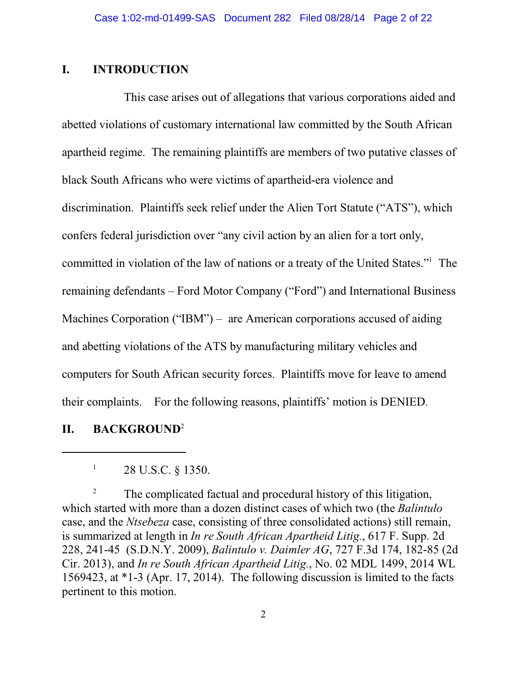# **I. INTRODUCTION**

This case arises out of allegations that various corporations aided and abetted violations of customary international law committed by the South African apartheid regime. The remaining plaintiffs are members of two putative classes of black South Africans who were victims of apartheid-era violence and discrimination. Plaintiffs seek relief under the Alien Tort Statute ("ATS"), which confers federal jurisdiction over "any civil action by an alien for a tort only, committed in violation of the law of nations or a treaty of the United States."<sup>1</sup> The remaining defendants – Ford Motor Company ("Ford") and International Business Machines Corporation ("IBM") – are American corporations accused of aiding and abetting violations of the ATS by manufacturing military vehicles and computers for South African security forces. Plaintiffs move for leave to amend their complaints. For the following reasons, plaintiffs' motion is DENIED.

# **II. BACKGROUND**<sup>2</sup>

<sup>2</sup> The complicated factual and procedural history of this litigation, which started with more than a dozen distinct cases of which two (the *Balintulo* case, and the *Ntsebeza* case, consisting of three consolidated actions) still remain, is summarized at length in *In re South African Apartheid Litig.*, 617 F. Supp. 2d 228, 241-45 (S.D.N.Y. 2009), *Balintulo v. Daimler AG*, 727 F.3d 174, 182-85 (2d Cir. 2013), and *In re South African Apartheid Litig.*, No. 02 MDL 1499, 2014 WL 1569423, at \*1-3 (Apr. 17, 2014). The following discussion is limited to the facts pertinent to this motion.

<sup>1</sup> 28 U.S.C. § 1350.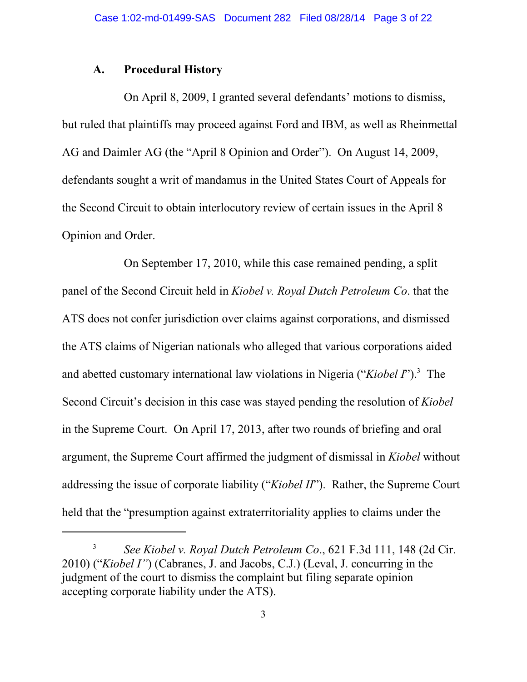# **A. Procedural History**

On April 8, 2009, I granted several defendants' motions to dismiss, but ruled that plaintiffs may proceed against Ford and IBM, as well as Rheinmettal AG and Daimler AG (the "April 8 Opinion and Order"). On August 14, 2009, defendants sought a writ of mandamus in the United States Court of Appeals for the Second Circuit to obtain interlocutory review of certain issues in the April 8 Opinion and Order.

On September 17, 2010, while this case remained pending, a split panel of the Second Circuit held in *Kiobel v. Royal Dutch Petroleum Co*. that the ATS does not confer jurisdiction over claims against corporations, and dismissed the ATS claims of Nigerian nationals who alleged that various corporations aided and abetted customary international law violations in Nigeria ("*Kiobel I*").<sup>3</sup> The Second Circuit's decision in this case was stayed pending the resolution of *Kiobel* in the Supreme Court. On April 17, 2013, after two rounds of briefing and oral argument, the Supreme Court affirmed the judgment of dismissal in *Kiobel* without addressing the issue of corporate liability ("*Kiobel II*"). Rather, the Supreme Court held that the "presumption against extraterritoriality applies to claims under the

<sup>3</sup> *See Kiobel v. Royal Dutch Petroleum Co*., 621 F.3d 111, 148 (2d Cir. 2010) ("*Kiobel I"*) (Cabranes, J. and Jacobs, C.J.) (Leval, J. concurring in the judgment of the court to dismiss the complaint but filing separate opinion accepting corporate liability under the ATS).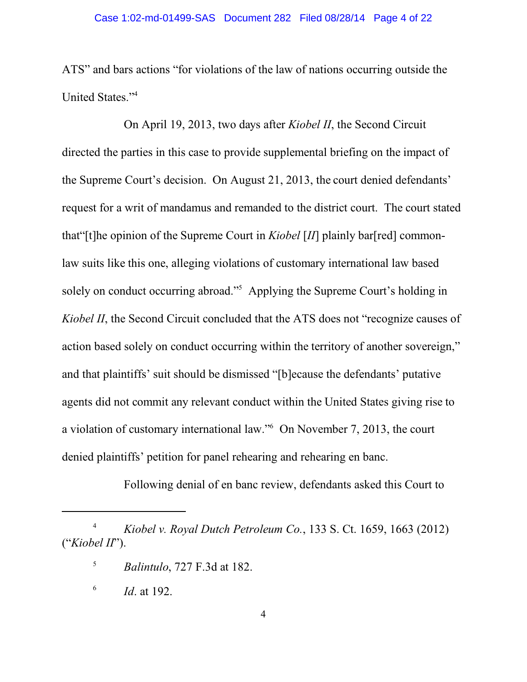ATS" and bars actions "for violations of the law of nations occurring outside the United States."<sup>4</sup>

On April 19, 2013, two days after *Kiobel II*, the Second Circuit directed the parties in this case to provide supplemental briefing on the impact of the Supreme Court's decision. On August 21, 2013, the court denied defendants' request for a writ of mandamus and remanded to the district court. The court stated that"[t]he opinion of the Supreme Court in *Kiobel* [*II*] plainly bar[red] commonlaw suits like this one, alleging violations of customary international law based solely on conduct occurring abroad."<sup>5</sup> Applying the Supreme Court's holding in *Kiobel II*, the Second Circuit concluded that the ATS does not "recognize causes of action based solely on conduct occurring within the territory of another sovereign," and that plaintiffs' suit should be dismissed "[b]ecause the defendants' putative agents did not commit any relevant conduct within the United States giving rise to a violation of customary international law."<sup>6</sup> On November 7, 2013, the court denied plaintiffs' petition for panel rehearing and rehearing en banc.

Following denial of en banc review, defendants asked this Court to

<sup>4</sup> *Kiobel v. Royal Dutch Petroleum Co.*, 133 S. Ct. 1659, 1663 (2012) ("*Kiobel II*").

<sup>5</sup> *Balintulo*, 727 F.3d at 182.

<sup>6</sup> *Id*. at 192.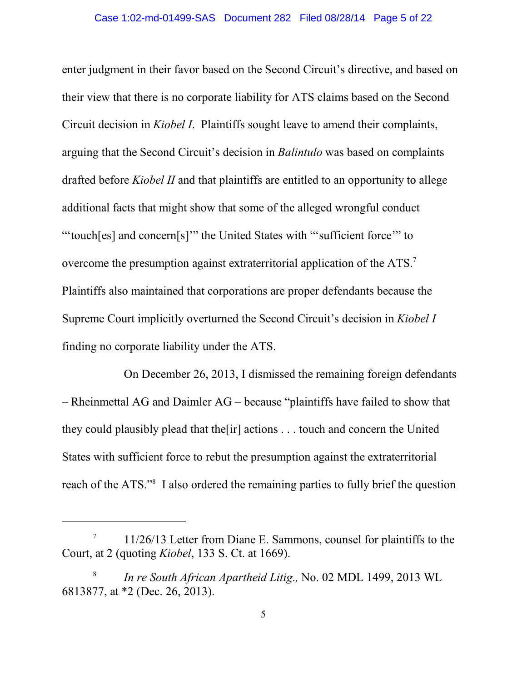enter judgment in their favor based on the Second Circuit's directive, and based on their view that there is no corporate liability for ATS claims based on the Second Circuit decision in *Kiobel I*. Plaintiffs sought leave to amend their complaints, arguing that the Second Circuit's decision in *Balintulo* was based on complaints drafted before *Kiobel II* and that plaintiffs are entitled to an opportunity to allege additional facts that might show that some of the alleged wrongful conduct "'touch[es] and concern[s]'" the United States with "'sufficient force'" to overcome the presumption against extraterritorial application of the ATS.<sup>7</sup> Plaintiffs also maintained that corporations are proper defendants because the Supreme Court implicitly overturned the Second Circuit's decision in *Kiobel I* finding no corporate liability under the ATS.

On December 26, 2013, I dismissed the remaining foreign defendants – Rheinmettal AG and Daimler AG – because "plaintiffs have failed to show that they could plausibly plead that the[ir] actions . . . touch and concern the United States with sufficient force to rebut the presumption against the extraterritorial reach of the ATS."<sup>8</sup> I also ordered the remaining parties to fully brief the question

<sup>7</sup> 11/26/13 Letter from Diane E. Sammons, counsel for plaintiffs to the Court, at 2 (quoting *Kiobel*, 133 S. Ct. at 1669).

<sup>8</sup> *In re South African Apartheid Litig*.*,* No. 02 MDL 1499, 2013 WL 6813877, at \*2 (Dec. 26, 2013).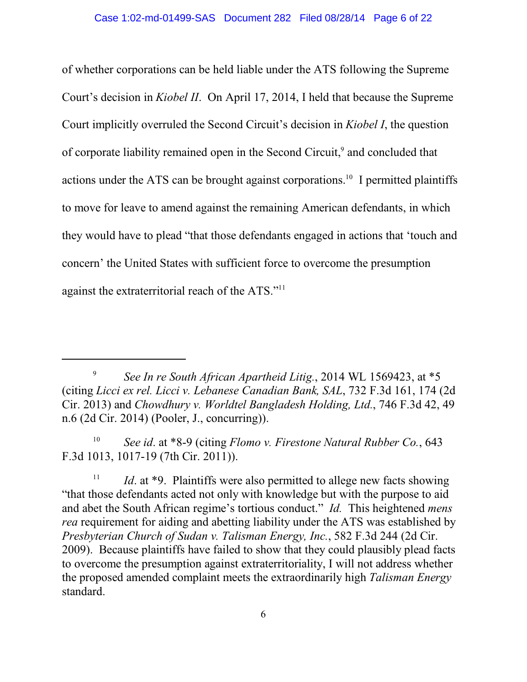of whether corporations can be held liable under the ATS following the Supreme Court's decision in *Kiobel II*. On April 17, 2014, I held that because the Supreme Court implicitly overruled the Second Circuit's decision in *Kiobel I*, the question of corporate liability remained open in the Second Circuit,<sup>9</sup> and concluded that actions under the ATS can be brought against corporations.<sup>10</sup> I permitted plaintiffs to move for leave to amend against the remaining American defendants, in which they would have to plead "that those defendants engaged in actions that 'touch and concern' the United States with sufficient force to overcome the presumption against the extraterritorial reach of the ATS."<sup>11</sup>

10 *See id*. at \*8-9 (citing *Flomo v. Firestone Natural Rubber Co.*, 643 F.3d 1013, 1017-19 (7th Cir. 2011)).

11 *Id.* at \*9. Plaintiffs were also permitted to allege new facts showing "that those defendants acted not only with knowledge but with the purpose to aid and abet the South African regime's tortious conduct." *Id.* This heightened *mens rea* requirement for aiding and abetting liability under the ATS was established by *Presbyterian Church of Sudan v. Talisman Energy, Inc.*, 582 F.3d 244 (2d Cir. 2009). Because plaintiffs have failed to show that they could plausibly plead facts to overcome the presumption against extraterritoriality, I will not address whether the proposed amended complaint meets the extraordinarily high *Talisman Energy* standard.

<sup>9</sup> *See In re South African Apartheid Litig.*, 2014 WL 1569423, at \*5 (citing *Licci ex rel. Licci v. Lebanese Canadian Bank, SAL*, 732 F.3d 161, 174 (2d Cir. 2013) and *Chowdhury v. Worldtel Bangladesh Holding, Ltd.*, 746 F.3d 42, 49 n.6 (2d Cir. 2014) (Pooler, J., concurring)).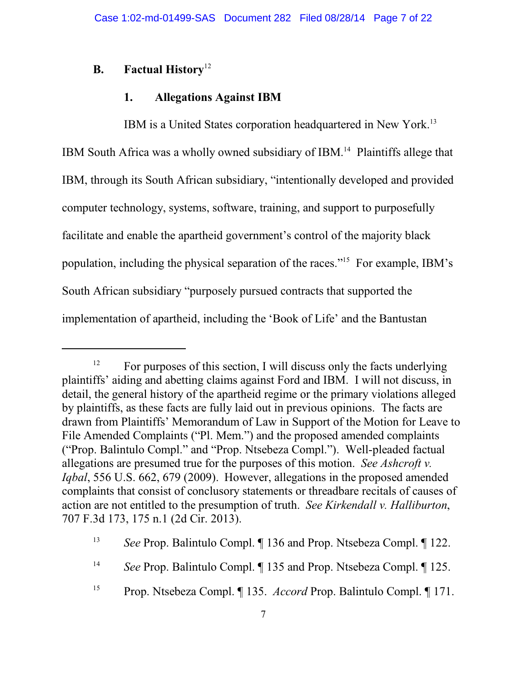# **B. Factual History** 12

# **1. Allegations Against IBM**

IBM is a United States corporation headquartered in New York.<sup>13</sup> IBM South Africa was a wholly owned subsidiary of IBM.<sup>14</sup> Plaintiffs allege that IBM, through its South African subsidiary, "intentionally developed and provided computer technology, systems, software, training, and support to purposefully facilitate and enable the apartheid government's control of the majority black population, including the physical separation of the races."<sup>15</sup> For example, IBM's South African subsidiary "purposely pursued contracts that supported the implementation of apartheid, including the 'Book of Life' and the Bantustan

 $12$  For purposes of this section, I will discuss only the facts underlying plaintiffs' aiding and abetting claims against Ford and IBM. I will not discuss, in detail, the general history of the apartheid regime or the primary violations alleged by plaintiffs, as these facts are fully laid out in previous opinions. The facts are drawn from Plaintiffs' Memorandum of Law in Support of the Motion for Leave to File Amended Complaints ("Pl. Mem.") and the proposed amended complaints ("Prop. Balintulo Compl." and "Prop. Ntsebeza Compl."). Well-pleaded factual allegations are presumed true for the purposes of this motion. *See Ashcroft v. Iqbal*, 556 U.S. 662, 679 (2009).However, allegations in the proposed amended complaints that consist of conclusory statements or threadbare recitals of causes of action are not entitled to the presumption of truth. *See Kirkendall v. Halliburton*, 707 F.3d 173, 175 n.1 (2d Cir. 2013).

<sup>13</sup> *See* Prop. Balintulo Compl. ¶ 136 and Prop. Ntsebeza Compl. ¶ 122.

<sup>14</sup> *See* Prop. Balintulo Compl. ¶ 135 and Prop. Ntsebeza Compl. ¶ 125.

<sup>15</sup> Prop. Ntsebeza Compl. ¶ 135. *Accord* Prop. Balintulo Compl. ¶ 171.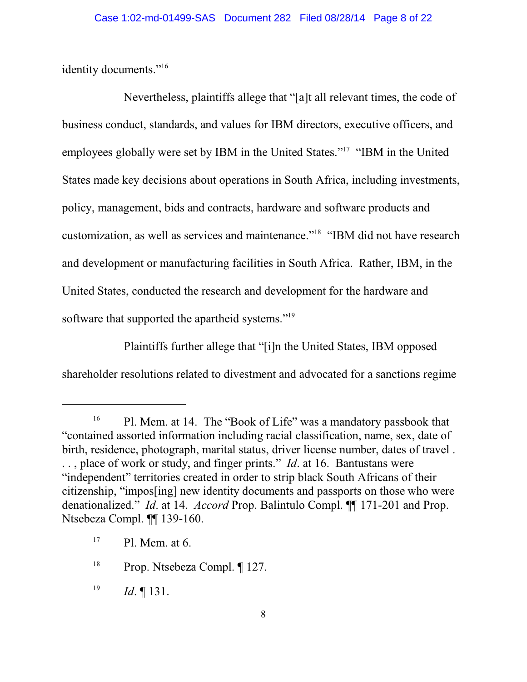identity documents."<sup>16</sup>

Nevertheless, plaintiffs allege that "[a]t all relevant times, the code of business conduct, standards, and values for IBM directors, executive officers, and employees globally were set by IBM in the United States."<sup>17</sup> "IBM in the United States made key decisions about operations in South Africa, including investments, policy, management, bids and contracts, hardware and software products and customization, as well as services and maintenance."<sup>18</sup> "IBM did not have research and development or manufacturing facilities in South Africa. Rather, IBM, in the United States, conducted the research and development for the hardware and software that supported the apartheid systems."<sup>19</sup>

Plaintiffs further allege that "[i]n the United States, IBM opposed shareholder resolutions related to divestment and advocated for a sanctions regime

19 *Id*. ¶ 131.

<sup>&</sup>lt;sup>16</sup> Pl. Mem. at 14. The "Book of Life" was a mandatory passbook that "contained assorted information including racial classification, name, sex, date of birth, residence, photograph, marital status, driver license number, dates of travel . . . , place of work or study, and finger prints." *Id*. at 16. Bantustans were "independent" territories created in order to strip black South Africans of their citizenship, "impos[ing] new identity documents and passports on those who were denationalized." *Id*. at 14. *Accord* Prop. Balintulo Compl. ¶¶ 171-201 and Prop. Ntsebeza Compl. ¶¶ 139-160.

 $17$  Pl. Mem. at 6.

<sup>&</sup>lt;sup>18</sup> Prop. Ntsebeza Compl.  $\P$  127.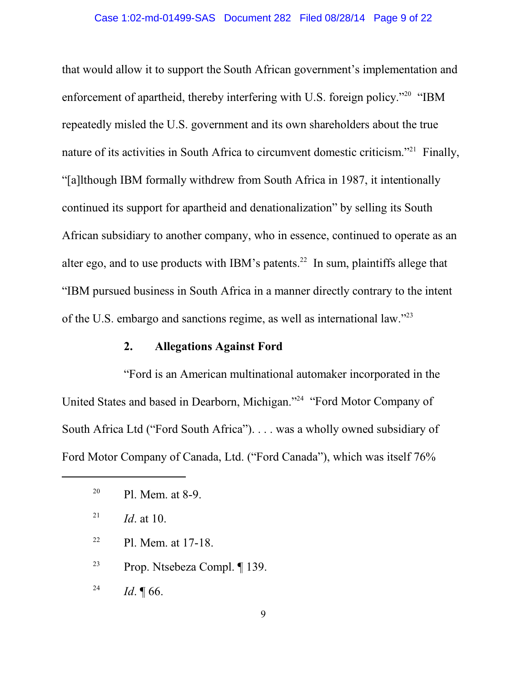that would allow it to support the South African government's implementation and enforcement of apartheid, thereby interfering with U.S. foreign policy."<sup>20</sup> "IBM repeatedly misled the U.S. government and its own shareholders about the true nature of its activities in South Africa to circumvent domestic criticism."<sup>21</sup> Finally, "[a]lthough IBM formally withdrew from South Africa in 1987, it intentionally continued its support for apartheid and denationalization" by selling its South African subsidiary to another company, who in essence, continued to operate as an alter ego, and to use products with IBM's patents.<sup>22</sup> In sum, plaintiffs allege that "IBM pursued business in South Africa in a manner directly contrary to the intent of the U.S. embargo and sanctions regime, as well as international law."<sup>23</sup>

### **2. Allegations Against Ford**

"Ford is an American multinational automaker incorporated in the United States and based in Dearborn, Michigan."<sup>24</sup> "Ford Motor Company of South Africa Ltd ("Ford South Africa"). . . . was a wholly owned subsidiary of Ford Motor Company of Canada, Ltd. ("Ford Canada"), which was itself 76%

<sup>22</sup> Pl. Mem. at 17-18.

<sup>23</sup> Prop. Ntsebeza Compl. ¶ 139.

24 *Id*. ¶ 66.

<sup>&</sup>lt;sup>20</sup> Pl. Mem. at 8-9.

<sup>21</sup> *Id*. at 10.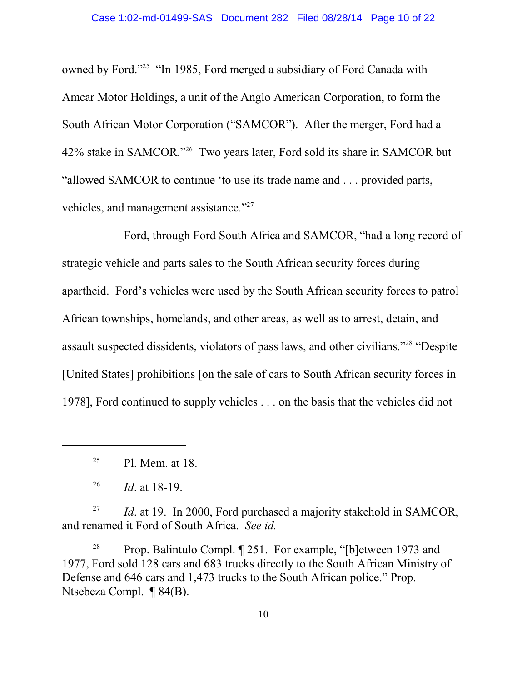owned by Ford."<sup>25</sup> "In 1985, Ford merged a subsidiary of Ford Canada with Amcar Motor Holdings, a unit of the Anglo American Corporation, to form the South African Motor Corporation ("SAMCOR"). After the merger, Ford had a 42% stake in SAMCOR."<sup>26</sup> Two years later, Ford sold its share in SAMCOR but "allowed SAMCOR to continue 'to use its trade name and . . . provided parts, vehicles, and management assistance."<sup>27</sup>

Ford, through Ford South Africa and SAMCOR, "had a long record of strategic vehicle and parts sales to the South African security forces during apartheid. Ford's vehicles were used by the South African security forces to patrol African townships, homelands, and other areas, as well as to arrest, detain, and assault suspected dissidents, violators of pass laws, and other civilians."<sup>28</sup> "Despite [United States] prohibitions [on the sale of cars to South African security forces in 1978], Ford continued to supply vehicles . . . on the basis that the vehicles did not

27 *Id.* at 19. In 2000, Ford purchased a majority stakehold in SAMCOR, and renamed it Ford of South Africa. *See id.*

<sup>28</sup> Prop. Balintulo Compl.  $\sqrt{ }$  251. For example, "[b]etween 1973 and 1977, Ford sold 128 cars and 683 trucks directly to the South African Ministry of Defense and 646 cars and 1,473 trucks to the South African police." Prop. Ntsebeza Compl. ¶ 84(B).

<sup>&</sup>lt;sup>25</sup> Pl. Mem. at 18.

<sup>26</sup> *Id*. at 18-19.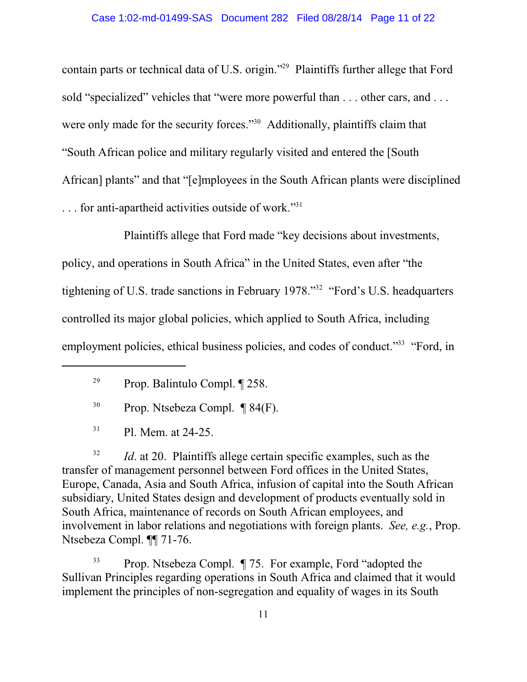contain parts or technical data of U.S. origin."<sup>29</sup> Plaintiffs further allege that Ford sold "specialized" vehicles that "were more powerful than . . . other cars, and . . . were only made for the security forces."<sup>30</sup> Additionally, plaintiffs claim that "South African police and military regularly visited and entered the [South African] plants" and that "[e]mployees in the South African plants were disciplined ... for anti-apartheid activities outside of work."<sup>31</sup>

Plaintiffs allege that Ford made "key decisions about investments, policy, and operations in South Africa" in the United States, even after "the tightening of U.S. trade sanctions in February 1978."<sup>32</sup> "Ford's U.S. headquarters controlled its major global policies, which applied to South Africa, including employment policies, ethical business policies, and codes of conduct."<sup>33</sup> "Ford, in

32 *Id*. at 20. Plaintiffs allege certain specific examples, such as the transfer of management personnel between Ford offices in the United States, Europe, Canada, Asia and South Africa, infusion of capital into the South African subsidiary, United States design and development of products eventually sold in South Africa, maintenance of records on South African employees, and involvement in labor relations and negotiations with foreign plants. *See, e.g.*, Prop. Ntsebeza Compl. ¶¶ 71-76.

<sup>33</sup> Prop. Ntsebeza Compl. ¶ 75. For example, Ford "adopted the Sullivan Principles regarding operations in South Africa and claimed that it would implement the principles of non-segregation and equality of wages in its South

<sup>29</sup> Prop. Balintulo Compl. ¶ 258.

 $30$  Prop. Ntsebeza Compl. ¶ 84(F).

<sup>31</sup> Pl. Mem. at 24-25.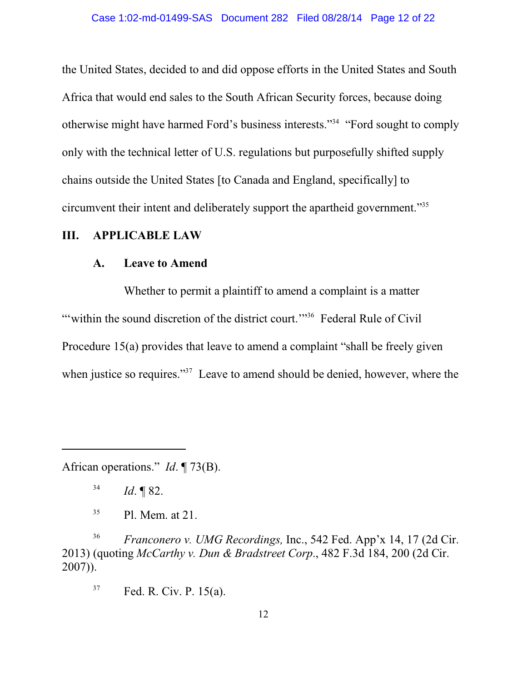the United States, decided to and did oppose efforts in the United States and South Africa that would end sales to the South African Security forces, because doing otherwise might have harmed Ford's business interests."<sup>34</sup> "Ford sought to comply only with the technical letter of U.S. regulations but purposefully shifted supply chains outside the United States [to Canada and England, specifically] to circumvent their intent and deliberately support the apartheid government."<sup>35</sup>

# **III. APPLICABLE LAW**

### **A. Leave to Amend**

Whether to permit a plaintiff to amend a complaint is a matter "within the sound discretion of the district court."<sup>36</sup> Federal Rule of Civil Procedure 15(a) provides that leave to amend a complaint "shall be freely given when justice so requires."<sup>37</sup> Leave to amend should be denied, however, where the

African operations." *Id*. ¶ 73(B).

<sup>36</sup> *Franconero v. UMG Recordings,* Inc., 542 Fed. App'x 14, 17 (2d Cir. 2013) (quoting *McCarthy v. Dun & Bradstreet Corp*., 482 F.3d 184, 200 (2d Cir. 2007)).

<sup>37</sup> Fed. R. Civ. P. 15(a).

<sup>34</sup> *Id*. ¶ 82.

<sup>35</sup> Pl. Mem. at 21.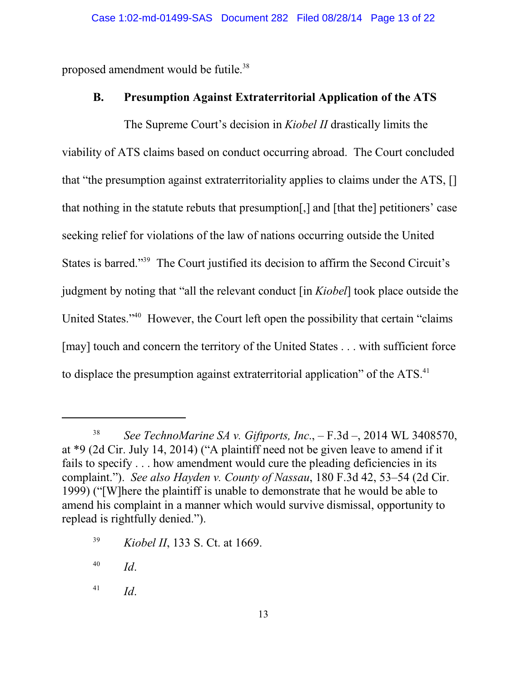proposed amendment would be futile.<sup>38</sup>

## **B. Presumption Against Extraterritorial Application of the ATS**

The Supreme Court's decision in *Kiobel II* drastically limits the viability of ATS claims based on conduct occurring abroad. The Court concluded that "the presumption against extraterritoriality applies to claims under the ATS, [] that nothing in the statute rebuts that presumption[,] and [that the] petitioners' case seeking relief for violations of the law of nations occurring outside the United States is barred."<sup>39</sup> The Court justified its decision to affirm the Second Circuit's judgment by noting that "all the relevant conduct [in *Kiobel*] took place outside the United States."<sup>40</sup> However, the Court left open the possibility that certain "claims [may] touch and concern the territory of the United States . . . with sufficient force to displace the presumption against extraterritorial application" of the ATS.<sup>41</sup>

40 *Id*.

41 *Id*.

<sup>38</sup> *See TechnoMarine SA v. Giftports, Inc*., – F.3d –, 2014 WL 3408570, at \*9 (2d Cir. July 14, 2014) ("A plaintiff need not be given leave to amend if it fails to specify . . . how amendment would cure the pleading deficiencies in its complaint."). *See also Hayden v. County of Nassau*, 180 F.3d 42, 53–54 (2d Cir. 1999) ("[W]here the plaintiff is unable to demonstrate that he would be able to amend his complaint in a manner which would survive dismissal, opportunity to replead is rightfully denied.").

<sup>39</sup> *Kiobel II*, 133 S. Ct. at 1669.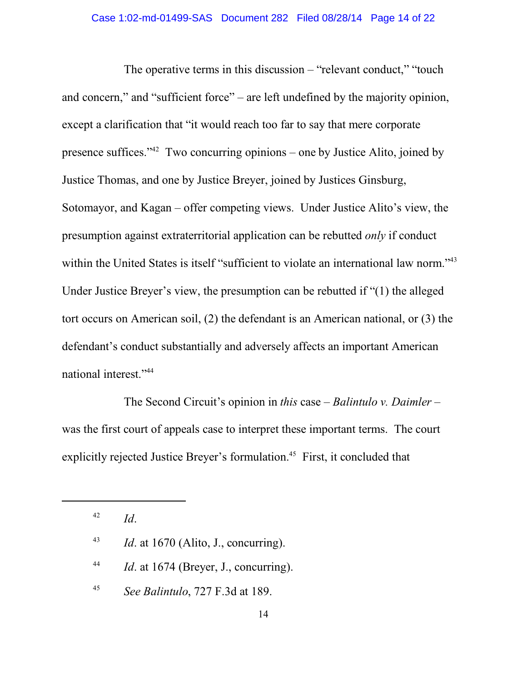The operative terms in this discussion – "relevant conduct," "touch and concern," and "sufficient force" – are left undefined by the majority opinion, except a clarification that "it would reach too far to say that mere corporate presence suffices."<sup>42</sup> Two concurring opinions – one by Justice Alito, joined by Justice Thomas, and one by Justice Breyer, joined by Justices Ginsburg, Sotomayor, and Kagan – offer competing views. Under Justice Alito's view, the presumption against extraterritorial application can be rebutted *only* if conduct within the United States is itself "sufficient to violate an international law norm."<sup>43</sup> Under Justice Breyer's view, the presumption can be rebutted if "(1) the alleged tort occurs on American soil, (2) the defendant is an American national, or (3) the defendant's conduct substantially and adversely affects an important American national interest."<sup>44</sup>

The Second Circuit's opinion in *this* case – *Balintulo v. Daimler* – was the first court of appeals case to interpret these important terms. The court explicitly rejected Justice Breyer's formulation.<sup>45</sup> First, it concluded that

42 *Id*.

43 *Id.* at 1670 (Alito, J., concurring).

44 *Id.* at 1674 (Breyer, J., concurring).

45 *See Balintulo*, 727 F.3d at 189.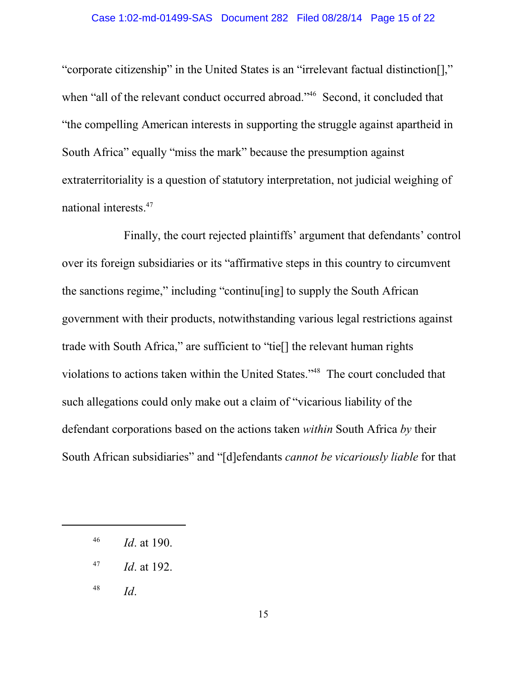#### Case 1:02-md-01499-SAS Document 282 Filed 08/28/14 Page 15 of 22

"corporate citizenship" in the United States is an "irrelevant factual distinction[]," when "all of the relevant conduct occurred abroad."<sup>46</sup> Second, it concluded that "the compelling American interests in supporting the struggle against apartheid in South Africa" equally "miss the mark" because the presumption against extraterritoriality is a question of statutory interpretation, not judicial weighing of national interests.<sup>47</sup>

Finally, the court rejected plaintiffs' argument that defendants' control over its foreign subsidiaries or its "affirmative steps in this country to circumvent the sanctions regime," including "continu[ing] to supply the South African government with their products, notwithstanding various legal restrictions against trade with South Africa," are sufficient to "tie[] the relevant human rights violations to actions taken within the United States."<sup>48</sup> The court concluded that such allegations could only make out a claim of "vicarious liability of the defendant corporations based on the actions taken *within* South Africa *by* their South African subsidiaries" and "[d]efendants *cannot be vicariously liable* for that

48 *Id*.

<sup>46</sup> *Id*. at 190.

<sup>47</sup> *Id*. at 192.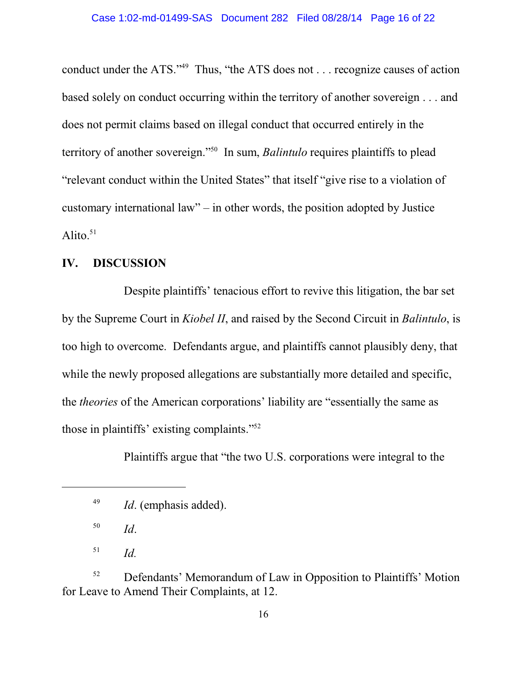conduct under the ATS."<sup>49</sup> Thus, "the ATS does not . . . recognize causes of action based solely on conduct occurring within the territory of another sovereign . . . and does not permit claims based on illegal conduct that occurred entirely in the territory of another sovereign."<sup>50</sup> In sum, *Balintulo* requires plaintiffs to plead "relevant conduct within the United States" that itself "give rise to a violation of customary international law" – in other words, the position adopted by Justice Alito. $51$ 

### **IV. DISCUSSION**

Despite plaintiffs' tenacious effort to revive this litigation, the bar set by the Supreme Court in *Kiobel II*, and raised by the Second Circuit in *Balintulo*, is too high to overcome. Defendants argue, and plaintiffs cannot plausibly deny, that while the newly proposed allegations are substantially more detailed and specific, the *theories* of the American corporations' liability are "essentially the same as those in plaintiffs' existing complaints."<sup>52</sup>

Plaintiffs argue that "the two U.S. corporations were integral to the

<sup>52</sup> Defendants' Memorandum of Law in Opposition to Plaintiffs' Motion for Leave to Amend Their Complaints, at 12.

<sup>49</sup> *Id*. (emphasis added).

<sup>50</sup> *Id*.

<sup>51</sup> *Id.*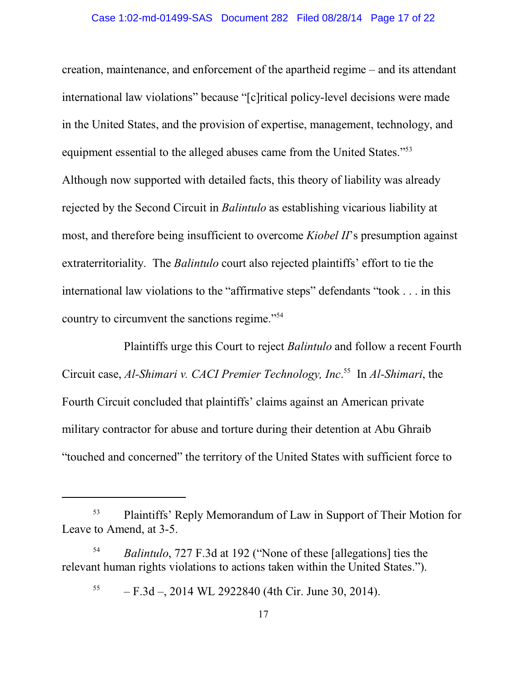creation, maintenance, and enforcement of the apartheid regime – and its attendant international law violations" because "[c]ritical policy-level decisions were made in the United States, and the provision of expertise, management, technology, and equipment essential to the alleged abuses came from the United States."<sup>53</sup> Although now supported with detailed facts, this theory of liability was already rejected by the Second Circuit in *Balintulo* as establishing vicarious liability at most, and therefore being insufficient to overcome *Kiobel II*'s presumption against extraterritoriality. The *Balintulo* court also rejected plaintiffs' effort to tie the international law violations to the "affirmative steps" defendants "took . . . in this country to circumvent the sanctions regime."<sup>54</sup>

Plaintiffs urge this Court to reject *Balintulo* and follow a recent Fourth Circuit case, *Al-Shimari v. CACI Premier Technology, Inc*. 55 In *Al-Shimari*, the Fourth Circuit concluded that plaintiffs' claims against an American private military contractor for abuse and torture during their detention at Abu Ghraib "touched and concerned" the territory of the United States with sufficient force to

<sup>53</sup> Plaintiffs' Reply Memorandum of Law in Support of Their Motion for Leave to Amend, at 3-5.

<sup>54</sup> *Balintulo*, 727 F.3d at 192 ("None of these [allegations] ties the relevant human rights violations to actions taken within the United States.").

<sup>55</sup> – F.3d –, 2014 WL 2922840 (4th Cir. June 30, 2014).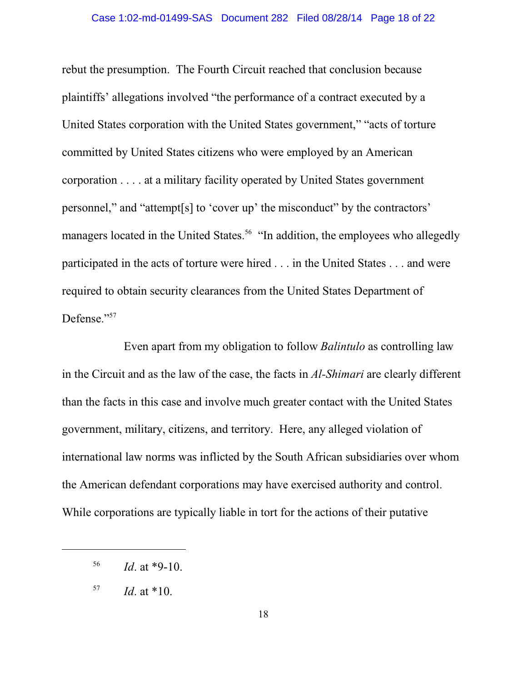rebut the presumption. The Fourth Circuit reached that conclusion because plaintiffs' allegations involved "the performance of a contract executed by a United States corporation with the United States government," "acts of torture committed by United States citizens who were employed by an American corporation . . . . at a military facility operated by United States government personnel," and "attempt[s] to 'cover up' the misconduct" by the contractors' managers located in the United States.<sup>56</sup> "In addition, the employees who allegedly participated in the acts of torture were hired . . . in the United States . . . and were required to obtain security clearances from the United States Department of Defense."<sup>57</sup>

Even apart from my obligation to follow *Balintulo* as controlling law in the Circuit and as the law of the case, the facts in *Al-Shimari* are clearly different than the facts in this case and involve much greater contact with the United States government, military, citizens, and territory. Here, any alleged violation of international law norms was inflicted by the South African subsidiaries over whom the American defendant corporations may have exercised authority and control. While corporations are typically liable in tort for the actions of their putative

<sup>56</sup> *Id*. at \*9-10.

<sup>57</sup> *Id*. at \*10.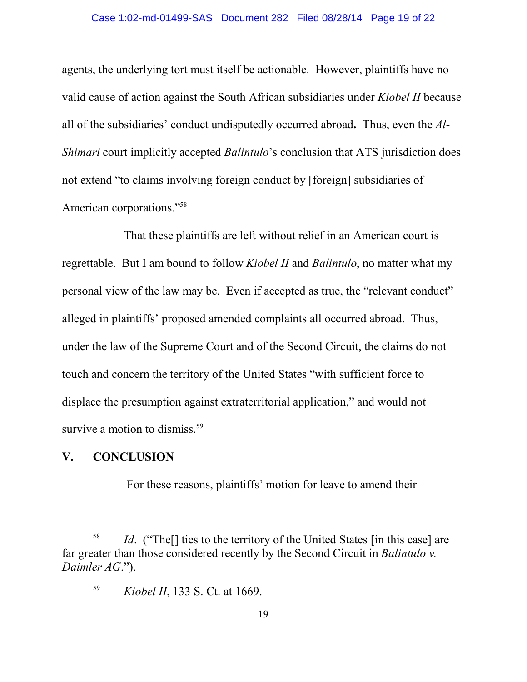#### Case 1:02-md-01499-SAS Document 282 Filed 08/28/14 Page 19 of 22

agents, the underlying tort must itself be actionable. However, plaintiffs have no valid cause of action against the South African subsidiaries under *Kiobel II* because all of the subsidiaries' conduct undisputedly occurred abroad**.** Thus, even the *Al-Shimari* court implicitly accepted *Balintulo*'s conclusion that ATS jurisdiction does not extend "to claims involving foreign conduct by [foreign] subsidiaries of American corporations."<sup>58</sup>

That these plaintiffs are left without relief in an American court is regrettable. But I am bound to follow *Kiobel II* and *Balintulo*, no matter what my personal view of the law may be. Even if accepted as true, the "relevant conduct" alleged in plaintiffs' proposed amended complaints all occurred abroad. Thus, under the law of the Supreme Court and of the Second Circuit, the claims do not touch and concern the territory of the United States "with sufficient force to displace the presumption against extraterritorial application," and would not survive a motion to dismiss.<sup>59</sup>

### **V. CONCLUSION**

For these reasons, plaintiffs' motion for leave to amend their

<sup>58</sup> *Id.* ("The<sup>[]</sup> ties to the territory of the United States [in this case] are far greater than those considered recently by the Second Circuit in *Balintulo v. Daimler AG*.").

<sup>59</sup> *Kiobel II*, 133 S. Ct. at 1669.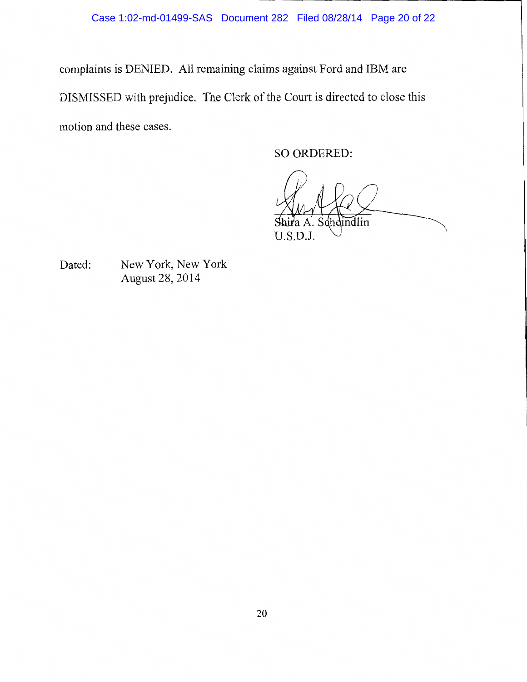complaints is DENIED. All remaining claims against Ford and IBM are DISMISSED with prejudice. The Clerk of the Court is directed to close this motion and these cases.

SO ORDERED:

indlin U.S.D.J.

Dated: New York, New York August 28, 2014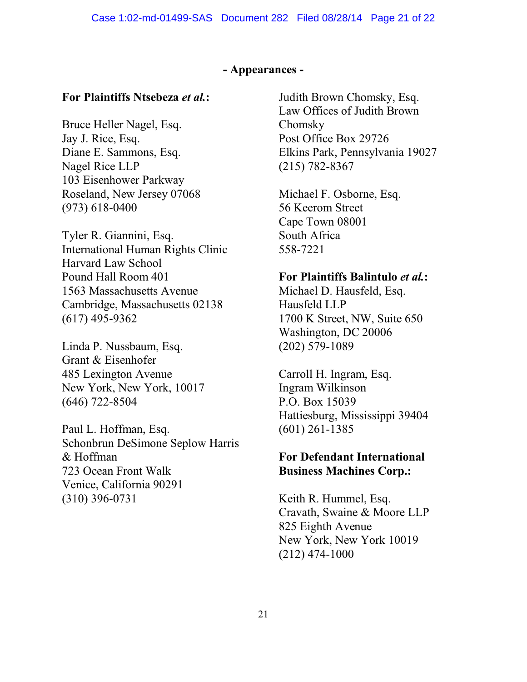### **- Appearances -**

# **For Plaintiffs Ntsebeza** *et al.***:**

Bruce Heller Nagel, Esq. Jay J. Rice, Esq. Diane E. Sammons, Esq. Nagel Rice LLP 103 Eisenhower Parkway Roseland, New Jersey 07068 (973) 618-0400

Tyler R. Giannini, Esq. International Human Rights Clinic Harvard Law School Pound Hall Room 401 1563 Massachusetts Avenue Cambridge, Massachusetts 02138 (617) 495-9362

Linda P. Nussbaum, Esq. Grant & Eisenhofer 485 Lexington Avenue New York, New York, 10017 (646) 722-8504

Paul L. Hoffman, Esq. Schonbrun DeSimone Seplow Harris & Hoffman 723 Ocean Front Walk Venice, California 90291 (310) 396-0731

Judith Brown Chomsky, Esq. Law Offices of Judith Brown Chomsky Post Office Box 29726 Elkins Park, Pennsylvania 19027 (215) 782-8367

Michael F. Osborne, Esq. 56 Keerom Street Cape Town 08001 South Africa 558-7221

## **For Plaintiffs Balintulo** *et al.***:**

Michael D. Hausfeld, Esq. Hausfeld LLP 1700 K Street, NW, Suite 650 Washington, DC 20006 (202) 579-1089

Carroll H. Ingram, Esq. Ingram Wilkinson P.O. Box 15039 Hattiesburg, Mississippi 39404 (601) 261-1385

# **For Defendant International Business Machines Corp.:**

Keith R. Hummel, Esq. Cravath, Swaine & Moore LLP 825 Eighth Avenue New York, New York 10019 (212) 474-1000